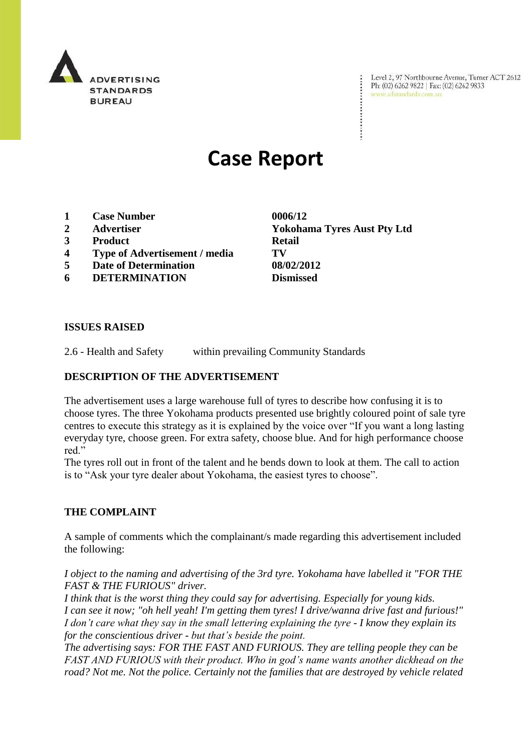

Level 2, 97 Northbourne Avenue, Turner ACT 2612 Ph: (02) 6262 9822 | Fax: (02) 6262 9833 www.adstandards.com.au

# **Case Report**

- **1 Case Number 0006/12**
- 
- **3 Product Retail**
- **4 Type of Advertisement / media TV**
- **5 Date of Determination 08/02/2012**
- **6 DETERMINATION Dismissed**

**2 Advertiser Yokohama Tyres Aust Pty Ltd**

### **ISSUES RAISED**

2.6 - Health and Safety within prevailing Community Standards

### **DESCRIPTION OF THE ADVERTISEMENT**

The advertisement uses a large warehouse full of tyres to describe how confusing it is to choose tyres. The three Yokohama products presented use brightly coloured point of sale tyre centres to execute this strategy as it is explained by the voice over "If you want a long lasting everyday tyre, choose green. For extra safety, choose blue. And for high performance choose red."

The tyres roll out in front of the talent and he bends down to look at them. The call to action is to "Ask your tyre dealer about Yokohama, the easiest tyres to choose".

### **THE COMPLAINT**

A sample of comments which the complainant/s made regarding this advertisement included the following:

*I object to the naming and advertising of the 3rd tyre. Yokohama have labelled it "FOR THE FAST & THE FURIOUS" driver.*

*I think that is the worst thing they could say for advertising. Especially for young kids. I can see it now; "oh hell yeah! I'm getting them tyres! I drive/wanna drive fast and furious!" I don't care what they say in the small lettering explaining the tyre - I know they explain its for the conscientious driver - but that's beside the point.*

*The advertising says: FOR THE FAST AND FURIOUS. They are telling people they can be FAST AND FURIOUS with their product. Who in god's name wants another dickhead on the road? Not me. Not the police. Certainly not the families that are destroyed by vehicle related*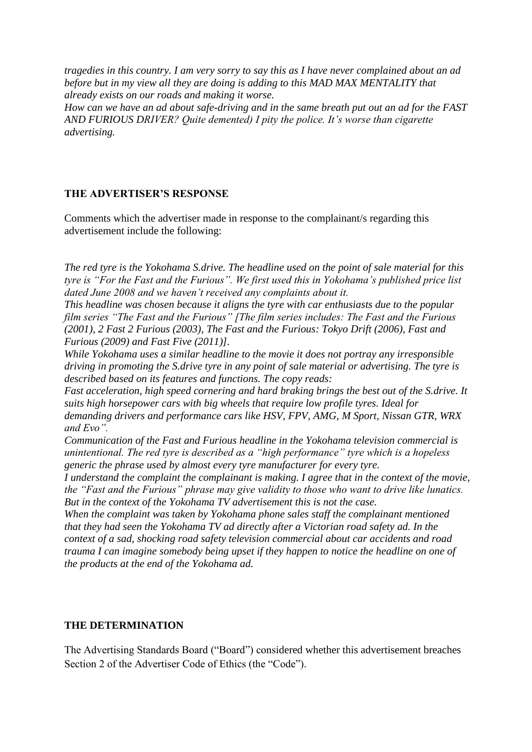*tragedies in this country. I am very sorry to say this as I have never complained about an ad before but in my view all they are doing is adding to this MAD MAX MENTALITY that already exists on our roads and making it worse.* 

*How can we have an ad about safe-driving and in the same breath put out an ad for the FAST AND FURIOUS DRIVER? Quite demented) I pity the police. It's worse than cigarette advertising.*

## **THE ADVERTISER'S RESPONSE**

Comments which the advertiser made in response to the complainant/s regarding this advertisement include the following:

*The red tyre is the Yokohama S.drive. The headline used on the point of sale material for this tyre is "For the Fast and the Furious". We first used this in Yokohama's published price list dated June 2008 and we haven't received any complaints about it.*

*This headline was chosen because it aligns the tyre with car enthusiasts due to the popular film series "The Fast and the Furious" [The film series includes: The Fast and the Furious (2001), 2 Fast 2 Furious (2003), The Fast and the Furious: Tokyo Drift (2006), Fast and Furious (2009) and Fast Five (2011)].* 

*While Yokohama uses a similar headline to the movie it does not portray any irresponsible driving in promoting the S.drive tyre in any point of sale material or advertising. The tyre is described based on its features and functions. The copy reads:*

*Fast acceleration, high speed cornering and hard braking brings the best out of the S.drive. It suits high horsepower cars with big wheels that require low profile tyres. Ideal for demanding drivers and performance cars like HSV, FPV, AMG, M Sport, Nissan GTR, WRX and Evo".*

*Communication of the Fast and Furious headline in the Yokohama television commercial is unintentional. The red tyre is described as a "high performance" tyre which is a hopeless generic the phrase used by almost every tyre manufacturer for every tyre.*

*I understand the complaint the complainant is making. I agree that in the context of the movie, the "Fast and the Furious" phrase may give validity to those who want to drive like lunatics. But in the context of the Yokohama TV advertisement this is not the case.*

*When the complaint was taken by Yokohama phone sales staff the complainant mentioned that they had seen the Yokohama TV ad directly after a Victorian road safety ad. In the context of a sad, shocking road safety television commercial about car accidents and road trauma I can imagine somebody being upset if they happen to notice the headline on one of the products at the end of the Yokohama ad.*

### **THE DETERMINATION**

The Advertising Standards Board ("Board") considered whether this advertisement breaches Section 2 of the Advertiser Code of Ethics (the "Code").